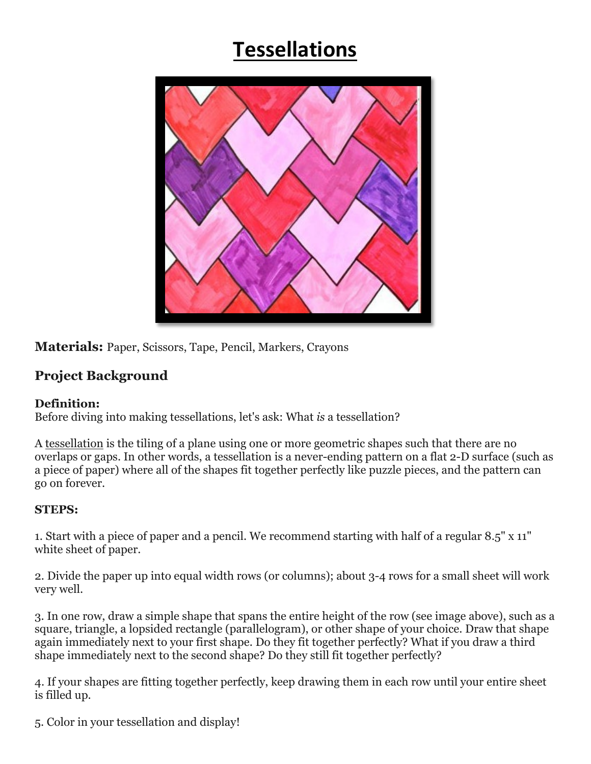## **Tessellations**



**Materials:** Paper, Scissors, Tape, Pencil, Markers, Crayons

## **Project Background**

## **Definition:**

Before diving into making tessellations, let's ask: What *is* a tessellation?

A tessellation is the tiling of a plane using one or more geometric shapes such that there are no overlaps or gaps. In other words, a tessellation is a never-ending pattern on a flat 2-D surface (such as a piece of paper) where all of the shapes fit together perfectly like puzzle pieces, and the pattern can go on forever.

## **STEPS:**

1. Start with a piece of paper and a pencil. We recommend starting with half of a regular 8.5" x 11" white sheet of paper.

2. Divide the paper up into equal width rows (or columns); about 3-4 rows for a small sheet will work very well.

3. In one row, draw a simple shape that spans the entire height of the row (see image above), such as a square, triangle, a lopsided rectangle (parallelogram), or other shape of your choice. Draw that shape again immediately next to your first shape. Do they fit together perfectly? What if you draw a third shape immediately next to the second shape? Do they still fit together perfectly?

4. If your shapes are fitting together perfectly, keep drawing them in each row until your entire sheet is filled up.

5. Color in your tessellation and display!